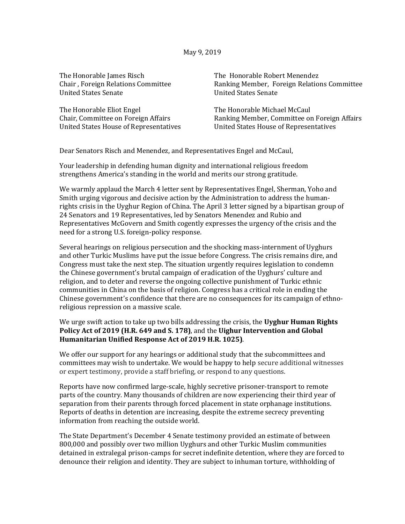| The Honorable James Risch          |
|------------------------------------|
| Chair, Foreign Relations Committee |
| <b>United States Senate</b>        |

The Honorable Eliot Engel Chair, Committee on Foreign Affairs United States House of Representatives The Honorable Robert Menendez Ranking Member, Foreign Relations Committee United States Senate

The Honorable Michael McCaul Ranking Member, Committee on Foreign Affairs United States House of Representatives

Dear Senators Risch and Menendez, and Representatives Engel and McCaul,

Your leadership in defending human dignity and international religious freedom strengthens America's standing in the world and merits our strong gratitude.

We warmly applaud the March 4 letter sent by Representatives Engel, Sherman, Yoho and Smith urging vigorous and decisive action by the Administration to address the humanrights crisis in the Uyghur Region of China. The April 3 letter signed by a bipartisan group of 24 Senators and 19 Representatives, led by Senators Menendez and Rubio and Representatives McGovern and Smith cogently expresses the urgency of the crisis and the need for a strong U.S. foreign-policy response.

Several hearings on religious persecution and the shocking mass-internment of Uyghurs and other Turkic Muslims have put the issue before Congress. The crisis remains dire, and Congress must take the next step. The situation urgently requires legislation to condemn the Chinese government's brutal campaign of eradication of the Uyghurs' culture and religion, and to deter and reverse the ongoing collective punishment of Turkic ethnic communities in China on the basis of religion. Congress has a critical role in ending the Chinese government's confidence that there are no consequences for its campaign of ethnoreligious repression on a massive scale.

## We urge swift action to take up two bills addressing the crisis, the **Uyghur Human Rights Policy Act of 2019 (H.R. 649 and S. 178)**, and the **Uighur Intervention and Global Humanitarian Unified Response Act of 2019 H.R. 1025)**.

We offer our support for any hearings or additional study that the subcommittees and committees may wish to undertake. We would be happy to help secure additional witnesses or expert testimony, provide a staff briefing, or respond to any questions.

Reports have now confirmed large-scale, highly secretive prisoner-transport to remote parts of the country. Many thousands of children are now experiencing their third year of separation from their parents through forced placement in state orphanage institutions. Reports of deaths in detention are increasing, despite the extreme secrecy preventing information from reaching the outside world.

The State Department's December 4 Senate testimony provided an estimate of between 800,000 and possibly over two million Uyghurs and other Turkic Muslim communities detained in extralegal prison-camps for secret indefinite detention, where they are forced to denounce their religion and identity. They are subject to inhuman torture, withholding of